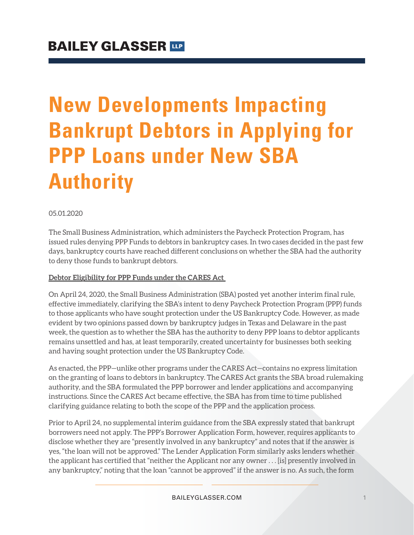# **New Developments Impacting Bankrupt Debtors in Applying for PPP Loans under New SBA Authority**

#### 05.01.2020

The Small Business Administration, which administers the Paycheck Protection Program, has issued rules denying PPP Funds to debtors in bankruptcy cases. In two cases decided in the past few days, bankruptcy courts have reached different conclusions on whether the SBA had the authority to deny those funds to bankrupt debtors.

#### **Debtor Eligibility for PPP Funds under the CARES Act**

On April 24, 2020, the Small Business Administration (SBA) posted yet another interim final rule, effective immediately, clarifying the SBA's intent to deny Paycheck Protection Program (PPP) funds to those applicants who have sought protection under the US Bankruptcy Code. However, as made evident by two opinions passed down by bankruptcy judges in Texas and Delaware in the past week, the question as to whether the SBA has the authority to deny PPP loans to debtor applicants remains unsettled and has, at least temporarily, created uncertainty for businesses both seeking and having sought protection under the US Bankruptcy Code.

As enacted, the PPP—unlike other programs under the CARES Act—contains no express limitation on the granting of loans to debtors in bankruptcy. The CARES Act grants the SBA broad rulemaking authority, and the SBA formulated the PPP borrower and lender applications and accompanying instructions. Since the CARES Act became effective, the SBA has from time to time published clarifying guidance relating to both the scope of the PPP and the application process.

Prior to April 24, no supplemental interim guidance from the SBA expressly stated that bankrupt borrowers need not apply. The PPP's Borrower Application Form, however, requires applicants to disclose whether they are "presently involved in any bankruptcy" and notes that if the answer is yes, "the loan will not be approved." The Lender Application Form similarly asks lenders whether the applicant has certified that "neither the Applicant nor any owner . . . [is] presently involved in any bankruptcy," noting that the loan "cannot be approved" if the answer is no. As such, the form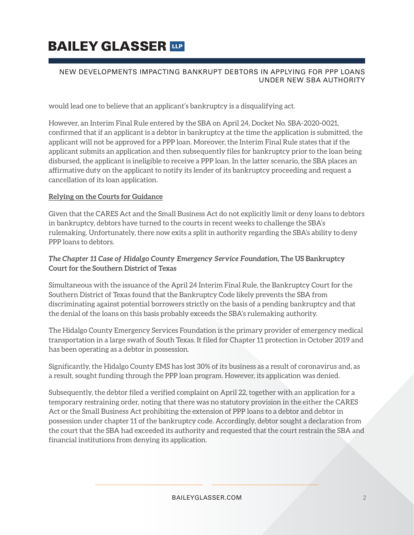# **BAILEY GLASSER TIP**

#### NEW DEVELOPMENTS IMPACTING BANKRUPT DEBTORS IN APPLYING FOR PPP LOANS UNDER NEW SBA AUTHORITY

would lead one to believe that an applicant's bankruptcy is a disqualifying act.

However, an Interim Final Rule entered by the SBA on April 24, Docket No. SBA-2020-0021, confirmed that if an applicant is a debtor in bankruptcy at the time the application is submitted, the applicant will not be approved for a PPP loan. Moreover, the Interim Final Rule states that if the applicant submits an application and then subsequently files for bankruptcy prior to the loan being disbursed, the applicant is ineligible to receive a PPP loan. In the latter scenario, the SBA places an affirmative duty on the applicant to notify its lender of its bankruptcy proceeding and request a cancellation of its loan application.

#### **Relying on the Courts for Guidance**

Given that the CARES Act and the Small Business Act do not explicitly limit or deny loans to debtors in bankruptcy, debtors have turned to the courts in recent weeks to challenge the SBA's rulemaking. Unfortunately, there now exits a split in authority regarding the SBA's ability to deny PPP loans to debtors.

#### **The Chapter 11 Case of Hidalgo County Emergency Service Foundation, The US Bankruptcy Court for the Southern District of Texas**

Simultaneous with the issuance of the April 24 Interim Final Rule, the Bankruptcy Court for the Southern District of Texas found that the Bankruptcy Code likely prevents the SBA from discriminating against potential borrowers strictly on the basis of a pending bankruptcy and that the denial of the loans on this basis probably exceeds the SBA's rulemaking authority.

The Hidalgo County Emergency Services Foundation is the primary provider of emergency medical transportation in a large swath of South Texas. It filed for Chapter 11 protection in October 2019 and has been operating as a debtor in possession.

Significantly, the Hidalgo County EMS has lost 30% of its business as a result of coronavirus and, as a result, sought funding through the PPP loan program. However, its application was denied.

Subsequently, the debtor filed a verified complaint on April 22, together with an application for a temporary restraining order, noting that there was no statutory provision in the either the CARES Act or the Small Business Act prohibiting the extension of PPP loans to a debtor and debtor in possession under chapter 11 of the bankruptcy code. Accordingly, debtor sought a declaration from the court that the SBA had exceeded its authority and requested that the court restrain the SBA and financial institutions from denying its application.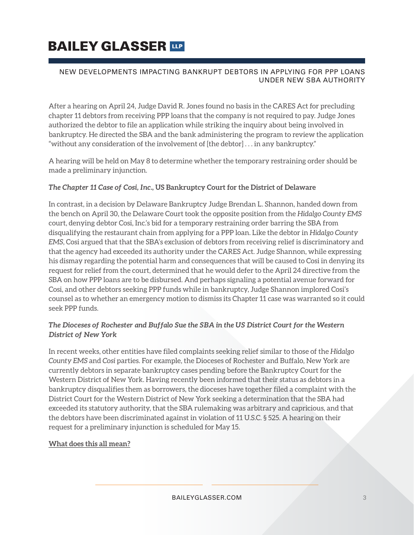# **BAILEY GLASSER TIP**

#### NEW DEVELOPMENTS IMPACTING BANKRUPT DEBTORS IN APPLYING FOR PPP LOANS UNDER NEW SBA AUTHORITY

After a hearing on April 24, Judge David R. Jones found no basis in the CARES Act for precluding chapter 11 debtors from receiving PPP loans that the company is not required to pay. Judge Jones authorized the debtor to file an application while striking the inquiry about being involved in bankruptcy. He directed the SBA and the bank administering the program to review the application "without any consideration of the involvement of [the debtor] . . . in any bankruptcy."

A hearing will be held on May 8 to determine whether the temporary restraining order should be made a preliminary injunction.

#### **The Chapter 11 Case of Cosi, Inc., US Bankruptcy Court for the District of Delaware**

In contrast, in a decision by Delaware Bankruptcy Judge Brendan L. Shannon, handed down from the bench on April 30, the Delaware Court took the opposite position from the *Hidalgo County EMS* court, denying debtor Cosi, Inc.'s bid for a temporary restraining order barring the SBA from disqualifying the restaurant chain from applying for a PPP loan. Like the debtor in *Hidalgo County EMS*, Cosi argued that that the SBA's exclusion of debtors from receiving relief is discriminatory and that the agency had exceeded its authority under the CARES Act. Judge Shannon, while expressing his dismay regarding the potential harm and consequences that will be caused to Cosi in denying its request for relief from the court, determined that he would defer to the April 24 directive from the SBA on how PPP loans are to be disbursed. And perhaps signaling a potential avenue forward for Cosi, and other debtors seeking PPP funds while in bankruptcy, Judge Shannon implored Cosi's counsel as to whether an emergency motion to dismiss its Chapter 11 case was warranted so it could seek PPP funds.

#### **The Dioceses of Rochester and Buffalo Sue the SBA in the US District Court for the Western District of New York**

In recent weeks, other entities have filed complaints seeking relief similar to those of the *Hidalgo County EMS* and *Cosi* parties. For example, the Dioceses of Rochester and Buffalo, New York are currently debtors in separate bankruptcy cases pending before the Bankruptcy Court for the Western District of New York. Having recently been informed that their status as debtors in a bankruptcy disqualifies them as borrowers, the dioceses have together filed a complaint with the District Court for the Western District of New York seeking a determination that the SBA had exceeded its statutory authority, that the SBA rulemaking was arbitrary and capricious, and that the debtors have been discriminated against in violation of 11 U.S.C. § 525. A hearing on their request for a preliminary injunction is scheduled for May 15.

#### **What does this all mean?**